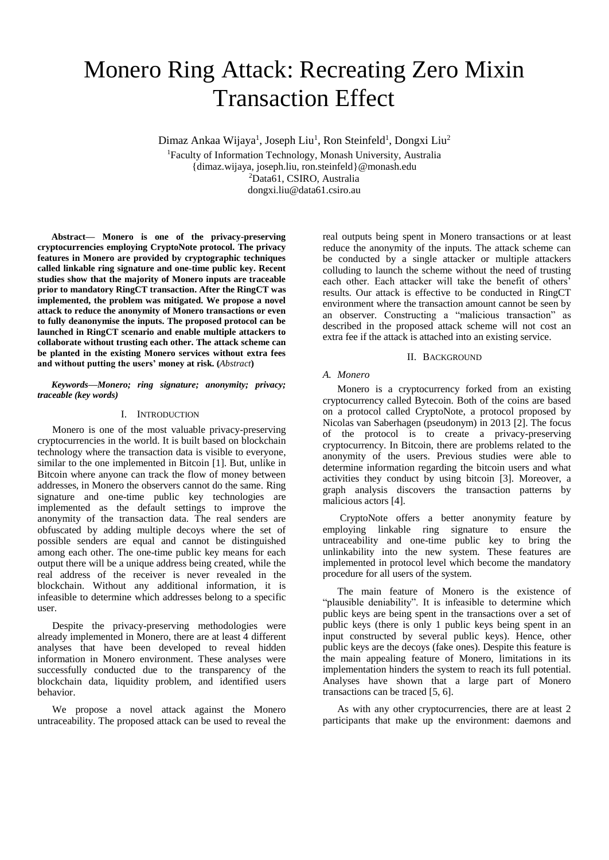# Monero Ring Attack: Recreating Zero Mixin Transaction Effect

Dimaz Ankaa Wijaya<sup>1</sup>, Joseph Liu<sup>1</sup>, Ron Steinfeld<sup>1</sup>, Dongxi Liu<sup>2</sup>

<sup>1</sup>Faculty of Information Technology, Monash University, Australia {dimaz.wijaya, joseph.liu, ron.steinfeld}@monash.edu <sup>2</sup>Data61, CSIRO, Australia dongxi.liu@data61.csiro.au

**Abstract— Monero is one of the privacy-preserving cryptocurrencies employing CryptoNote protocol. The privacy features in Monero are provided by cryptographic techniques called linkable ring signature and one-time public key. Recent studies show that the majority of Monero inputs are traceable prior to mandatory RingCT transaction. After the RingCT was implemented, the problem was mitigated. We propose a novel attack to reduce the anonymity of Monero transactions or even to fully deanonymise the inputs. The proposed protocol can be launched in RingCT scenario and enable multiple attackers to collaborate without trusting each other. The attack scheme can be planted in the existing Monero services without extra fees and without putting the users' money at risk. (***Abstract***)**

#### *Keywords—Monero; ring signature; anonymity; privacy; traceable (key words)*

# I. INTRODUCTION

Monero is one of the most valuable privacy-preserving cryptocurrencies in the world. It is built based on blockchain technology where the transaction data is visible to everyone, similar to the one implemented in Bitcoin [1]. But, unlike in Bitcoin where anyone can track the flow of money between addresses, in Monero the observers cannot do the same. Ring signature and one-time public key technologies are implemented as the default settings to improve the anonymity of the transaction data. The real senders are obfuscated by adding multiple decoys where the set of possible senders are equal and cannot be distinguished among each other. The one-time public key means for each output there will be a unique address being created, while the real address of the receiver is never revealed in the blockchain. Without any additional information, it is infeasible to determine which addresses belong to a specific user.

Despite the privacy-preserving methodologies were already implemented in Monero, there are at least 4 different analyses that have been developed to reveal hidden information in Monero environment. These analyses were successfully conducted due to the transparency of the blockchain data, liquidity problem, and identified users behavior.

We propose a novel attack against the Monero untraceability. The proposed attack can be used to reveal the

real outputs being spent in Monero transactions or at least reduce the anonymity of the inputs. The attack scheme can be conducted by a single attacker or multiple attackers colluding to launch the scheme without the need of trusting each other. Each attacker will take the benefit of others' results. Our attack is effective to be conducted in RingCT environment where the transaction amount cannot be seen by an observer. Constructing a "malicious transaction" as described in the proposed attack scheme will not cost an extra fee if the attack is attached into an existing service.

# II. BACKGROUND

# *A. Monero*

Monero is a cryptocurrency forked from an existing cryptocurrency called Bytecoin. Both of the coins are based on a protocol called CryptoNote, a protocol proposed by Nicolas van Saberhagen (pseudonym) in 2013 [2]. The focus of the protocol is to create a privacy-preserving cryptocurrency. In Bitcoin, there are problems related to the anonymity of the users. Previous studies were able to determine information regarding the bitcoin users and what activities they conduct by using bitcoin [3]. Moreover, a graph analysis discovers the transaction patterns by malicious actors [4].

CryptoNote offers a better anonymity feature by employing linkable ring signature to ensure the untraceability and one-time public key to bring the unlinkability into the new system. These features are implemented in protocol level which become the mandatory procedure for all users of the system.

The main feature of Monero is the existence of "plausible deniability". It is infeasible to determine which public keys are being spent in the transactions over a set of public keys (there is only 1 public keys being spent in an input constructed by several public keys). Hence, other public keys are the decoys (fake ones). Despite this feature is the main appealing feature of Monero, limitations in its implementation hinders the system to reach its full potential. Analyses have shown that a large part of Monero transactions can be traced [5, 6].

As with any other cryptocurrencies, there are at least 2 participants that make up the environment: daemons and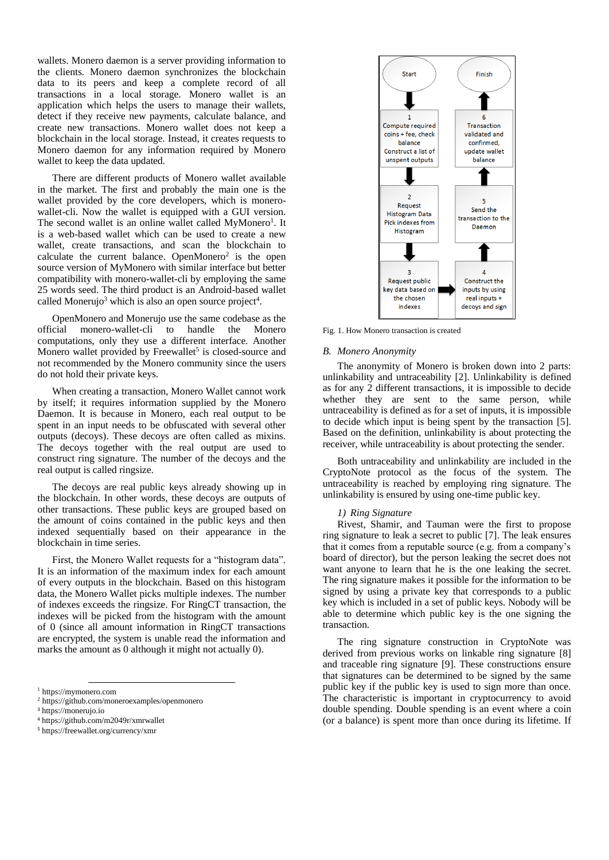wallets. Monero daemon is a server providing information to the clients. Monero daemon synchronizes the blockchain data to its peers and keep a complete record of all transactions in a local storage. Monero wallet is an application which helps the users to manage their wallets, detect if they receive new payments, calculate balance, and create new transactions. Monero wallet does not keep a blockchain in the local storage. Instead, it creates requests to Monero daemon for any information required by Monero wallet to keep the data updated.

There are different products of Monero wallet available in the market. The first and probably the main one is the wallet provided by the core developers, which is monerowallet-cli. Now the wallet is equipped with a GUI version. The second wallet is an online wallet called MyMonero<sup>1</sup>. It is a web-based wallet which can be used to create a new wallet, create transactions, and scan the blockchain to calculate the current balance. OpenMonero<sup>2</sup> is the open source version of MyMonero with similar interface but better compatibility with monero-wallet-cli by employing the same 25 words seed. The third product is an Android-based wallet called Monerujo<sup>3</sup> which is also an open source project<sup>4</sup>.

OpenMonero and Monerujo use the same codebase as the official monero-wallet-cli to handle the Monero computations, only they use a different interface. Another Monero wallet provided by Freewallet<sup>5</sup> is closed-source and not recommended by the Monero community since the users do not hold their private keys.

When creating a transaction, Monero Wallet cannot work by itself; it requires information supplied by the Monero Daemon. It is because in Monero, each real output to be spent in an input needs to be obfuscated with several other outputs (decoys). These decoys are often called as mixins. The decoys together with the real output are used to construct ring signature. The number of the decoys and the real output is called ringsize.

The decoys are real public keys already showing up in the blockchain. In other words, these decoys are outputs of other transactions. These public keys are grouped based on the amount of coins contained in the public keys and then indexed sequentially based on their appearance in the blockchain in time series.

First, the Monero Wallet requests for a "histogram data". It is an information of the maximum index for each amount of every outputs in the blockchain. Based on this histogram data, the Monero Wallet picks multiple indexes. The number of indexes exceeds the ringsize. For RingCT transaction, the indexes will be picked from the histogram with the amount of 0 (since all amount information in RingCT transactions are encrypted, the system is unable read the information and marks the amount as 0 although it might not actually 0).

l



Fig. 1. How Monero transaction is created

#### *B. Monero Anonymity*

The anonymity of Monero is broken down into 2 parts: unlinkability and untraceability [2]. Unlinkability is defined as for any 2 different transactions, it is impossible to decide whether they are sent to the same person, while untraceability is defined as for a set of inputs, it is impossible to decide which input is being spent by the transaction [5]. Based on the definition, unlinkability is about protecting the receiver, while untraceability is about protecting the sender.

Both untraceability and unlinkability are included in the CryptoNote protocol as the focus of the system. The untraceability is reached by employing ring signature. The unlinkability is ensured by using one-time public key.

# *1) Ring Signature*

Rivest, Shamir, and Tauman were the first to propose ring signature to leak a secret to public [7]. The leak ensures that it comes from a reputable source (e.g. from a company's board of director), but the person leaking the secret does not want anyone to learn that he is the one leaking the secret. The ring signature makes it possible for the information to be signed by using a private key that corresponds to a public key which is included in a set of public keys. Nobody will be able to determine which public key is the one signing the transaction.

The ring signature construction in CryptoNote was derived from previous works on linkable ring signature [8] and traceable ring signature [9]. These constructions ensure that signatures can be determined to be signed by the same public key if the public key is used to sign more than once. The characteristic is important in cryptocurrency to avoid double spending. Double spending is an event where a coin (or a balance) is spent more than once during its lifetime. If

<sup>1</sup> https://mymonero.com

<sup>2</sup> https://github.com/moneroexamples/openmonero

<sup>3</sup> https://monerujo.io

<sup>4</sup> https://github.com/m2049r/xmrwallet

<sup>5</sup> https://freewallet.org/currency/xmr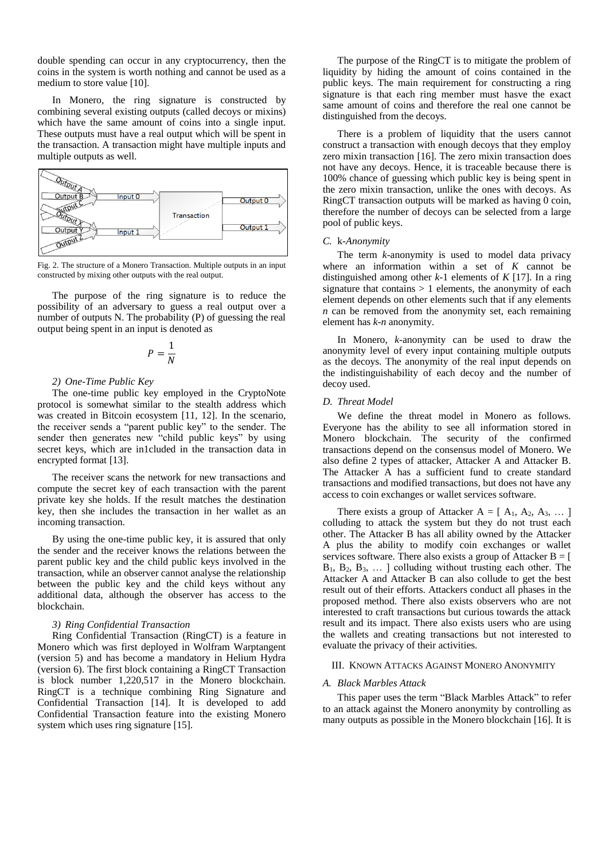double spending can occur in any cryptocurrency, then the coins in the system is worth nothing and cannot be used as a medium to store value [10].

In Monero, the ring signature is constructed by combining several existing outputs (called decoys or mixins) which have the same amount of coins into a single input. These outputs must have a real output which will be spent in the transaction. A transaction might have multiple inputs and multiple outputs as well.



Fig. 2. The structure of a Monero Transaction. Multiple outputs in an input constructed by mixing other outputs with the real output.

The purpose of the ring signature is to reduce the possibility of an adversary to guess a real output over a number of outputs N. The probability (P) of guessing the real output being spent in an input is denoted as

$$
P=\frac{1}{N}
$$

# *2) One-Time Public Key*

The one-time public key employed in the CryptoNote protocol is somewhat similar to the stealth address which was created in Bitcoin ecosystem [11, 12]. In the scenario, the receiver sends a "parent public key" to the sender. The sender then generates new "child public keys" by using secret keys, which are in1cluded in the transaction data in encrypted format [13].

The receiver scans the network for new transactions and compute the secret key of each transaction with the parent private key she holds. If the result matches the destination key, then she includes the transaction in her wallet as an incoming transaction.

By using the one-time public key, it is assured that only the sender and the receiver knows the relations between the parent public key and the child public keys involved in the transaction, while an observer cannot analyse the relationship between the public key and the child keys without any additional data, although the observer has access to the blockchain.

# *3) Ring Confidential Transaction*

Ring Confidential Transaction (RingCT) is a feature in Monero which was first deployed in Wolfram Warptangent (version 5) and has become a mandatory in Helium Hydra (version 6). The first block containing a RingCT Transaction is block number 1,220,517 in the Monero blockchain. RingCT is a technique combining Ring Signature and Confidential Transaction [14]. It is developed to add Confidential Transaction feature into the existing Monero system which uses ring signature [15].

The purpose of the RingCT is to mitigate the problem of liquidity by hiding the amount of coins contained in the public keys. The main requirement for constructing a ring signature is that each ring member must hasve the exact same amount of coins and therefore the real one cannot be distinguished from the decoys.

There is a problem of liquidity that the users cannot construct a transaction with enough decoys that they employ zero mixin transaction [16]. The zero mixin transaction does not have any decoys. Hence, it is traceable because there is 100% chance of guessing which public key is being spent in the zero mixin transaction, unlike the ones with decoys. As RingCT transaction outputs will be marked as having 0 coin. therefore the number of decoys can be selected from a large pool of public keys.

#### *C.* k*-Anonymity*

The term *k*-anonymity is used to model data privacy where an information within a set of *K* cannot be distinguished among other *k*-1 elements of *K* [17]. In a ring signature that contains  $> 1$  elements, the anonymity of each element depends on other elements such that if any elements *n* can be removed from the anonymity set, each remaining element has *k*-*n* anonymity.

In Monero, *k*-anonymity can be used to draw the anonymity level of every input containing multiple outputs as the decoys. The anonymity of the real input depends on the indistinguishability of each decoy and the number of decoy used.

#### *D. Threat Model*

We define the threat model in Monero as follows. Everyone has the ability to see all information stored in Monero blockchain. The security of the confirmed transactions depend on the consensus model of Monero. We also define 2 types of attacker, Attacker A and Attacker B. The Attacker A has a sufficient fund to create standard transactions and modified transactions, but does not have any access to coin exchanges or wallet services software.

There exists a group of Attacker  $A = [A_1, A_2, A_3, \dots]$ colluding to attack the system but they do not trust each other. The Attacker B has all ability owned by the Attacker A plus the ability to modify coin exchanges or wallet services software. There also exists a group of Attacker  $B = \begin{bmatrix} \end{bmatrix}$  $B_1, B_2, B_3, \ldots$  ] colluding without trusting each other. The Attacker A and Attacker B can also collude to get the best result out of their efforts. Attackers conduct all phases in the proposed method. There also exists observers who are not interested to craft transactions but curious towards the attack result and its impact. There also exists users who are using the wallets and creating transactions but not interested to evaluate the privacy of their activities.

# III. KNOWN ATTACKS AGAINST MONERO ANONYMITY

#### *A. Black Marbles Attack*

This paper uses the term "Black Marbles Attack" to refer to an attack against the Monero anonymity by controlling as many outputs as possible in the Monero blockchain [16]. It is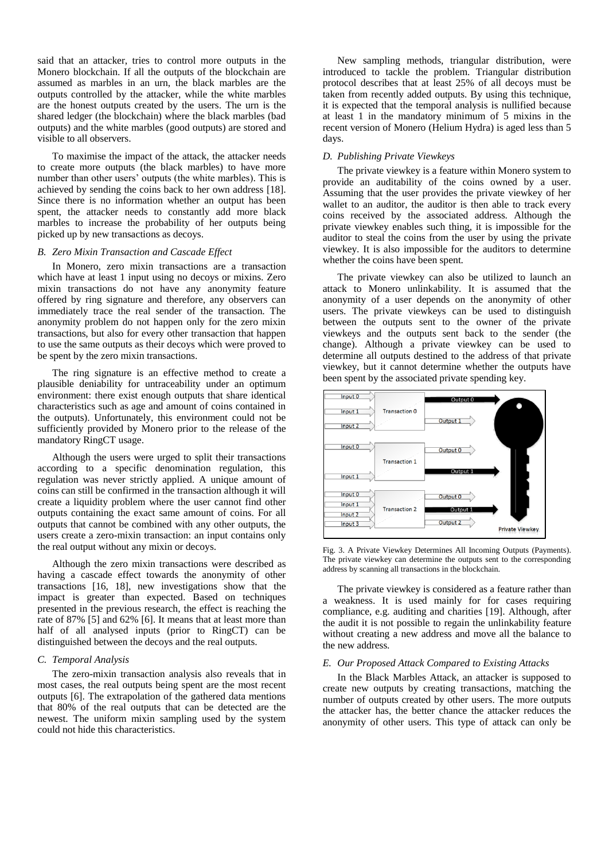said that an attacker, tries to control more outputs in the Monero blockchain. If all the outputs of the blockchain are assumed as marbles in an urn, the black marbles are the outputs controlled by the attacker, while the white marbles are the honest outputs created by the users. The urn is the shared ledger (the blockchain) where the black marbles (bad outputs) and the white marbles (good outputs) are stored and visible to all observers.

To maximise the impact of the attack, the attacker needs to create more outputs (the black marbles) to have more number than other users' outputs (the white marbles). This is achieved by sending the coins back to her own address [18]. Since there is no information whether an output has been spent, the attacker needs to constantly add more black marbles to increase the probability of her outputs being picked up by new transactions as decoys.

# *B. Zero Mixin Transaction and Cascade Effect*

In Monero, zero mixin transactions are a transaction which have at least 1 input using no decoys or mixins. Zero mixin transactions do not have any anonymity feature offered by ring signature and therefore, any observers can immediately trace the real sender of the transaction. The anonymity problem do not happen only for the zero mixin transactions, but also for every other transaction that happen to use the same outputs as their decoys which were proved to be spent by the zero mixin transactions.

The ring signature is an effective method to create a plausible deniability for untraceability under an optimum environment: there exist enough outputs that share identical characteristics such as age and amount of coins contained in the outputs). Unfortunately, this environment could not be sufficiently provided by Monero prior to the release of the mandatory RingCT usage.

Although the users were urged to split their transactions according to a specific denomination regulation, this regulation was never strictly applied. A unique amount of coins can still be confirmed in the transaction although it will create a liquidity problem where the user cannot find other outputs containing the exact same amount of coins. For all outputs that cannot be combined with any other outputs, the users create a zero-mixin transaction: an input contains only the real output without any mixin or decoys.

Although the zero mixin transactions were described as having a cascade effect towards the anonymity of other transactions [16, 18], new investigations show that the impact is greater than expected. Based on techniques presented in the previous research, the effect is reaching the rate of 87% [5] and 62% [6]. It means that at least more than half of all analysed inputs (prior to RingCT) can be distinguished between the decoys and the real outputs.

# *C. Temporal Analysis*

The zero-mixin transaction analysis also reveals that in most cases, the real outputs being spent are the most recent outputs [6]. The extrapolation of the gathered data mentions that 80% of the real outputs that can be detected are the newest. The uniform mixin sampling used by the system could not hide this characteristics.

New sampling methods, triangular distribution, were introduced to tackle the problem. Triangular distribution protocol describes that at least 25% of all decoys must be taken from recently added outputs. By using this technique, it is expected that the temporal analysis is nullified because at least 1 in the mandatory minimum of 5 mixins in the recent version of Monero (Helium Hydra) is aged less than 5 days.

# *D. Publishing Private Viewkeys*

The private viewkey is a feature within Monero system to provide an auditability of the coins owned by a user. Assuming that the user provides the private viewkey of her wallet to an auditor, the auditor is then able to track every coins received by the associated address. Although the private viewkey enables such thing, it is impossible for the auditor to steal the coins from the user by using the private viewkey. It is also impossible for the auditors to determine whether the coins have been spent.

The private viewkey can also be utilized to launch an attack to Monero unlinkability. It is assumed that the anonymity of a user depends on the anonymity of other users. The private viewkeys can be used to distinguish between the outputs sent to the owner of the private viewkeys and the outputs sent back to the sender (the change). Although a private viewkey can be used to determine all outputs destined to the address of that private viewkey, but it cannot determine whether the outputs have been spent by the associated private spending key.



Fig. 3. A Private Viewkey Determines All Incoming Outputs (Payments). The private viewkey can determine the outputs sent to the corresponding address by scanning all transactions in the blockchain.

The private viewkey is considered as a feature rather than a weakness. It is used mainly for for cases requiring compliance, e.g. auditing and charities [19]. Although, after the audit it is not possible to regain the unlinkability feature without creating a new address and move all the balance to the new address.

# *E. Our Proposed Attack Compared to Existing Attacks*

In the Black Marbles Attack, an attacker is supposed to create new outputs by creating transactions, matching the number of outputs created by other users. The more outputs the attacker has, the better chance the attacker reduces the anonymity of other users. This type of attack can only be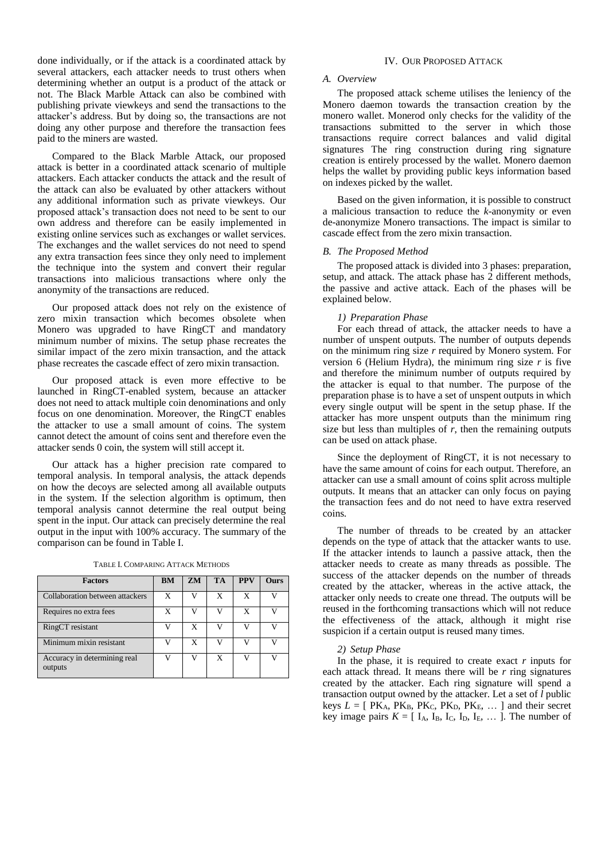done individually, or if the attack is a coordinated attack by several attackers, each attacker needs to trust others when determining whether an output is a product of the attack or not. The Black Marble Attack can also be combined with publishing private viewkeys and send the transactions to the attacker's address. But by doing so, the transactions are not doing any other purpose and therefore the transaction fees paid to the miners are wasted.

Compared to the Black Marble Attack, our proposed attack is better in a coordinated attack scenario of multiple attackers. Each attacker conducts the attack and the result of the attack can also be evaluated by other attackers without any additional information such as private viewkeys. Our proposed attack's transaction does not need to be sent to our own address and therefore can be easily implemented in existing online services such as exchanges or wallet services. The exchanges and the wallet services do not need to spend any extra transaction fees since they only need to implement the technique into the system and convert their regular transactions into malicious transactions where only the anonymity of the transactions are reduced.

Our proposed attack does not rely on the existence of zero mixin transaction which becomes obsolete when Monero was upgraded to have RingCT and mandatory minimum number of mixins. The setup phase recreates the similar impact of the zero mixin transaction, and the attack phase recreates the cascade effect of zero mixin transaction.

Our proposed attack is even more effective to be launched in RingCT-enabled system, because an attacker does not need to attack multiple coin denominations and only focus on one denomination. Moreover, the RingCT enables the attacker to use a small amount of coins. The system cannot detect the amount of coins sent and therefore even the attacker sends 0 coin, the system will still accept it.

Our attack has a higher precision rate compared to temporal analysis. In temporal analysis, the attack depends on how the decoys are selected among all available outputs in the system. If the selection algorithm is optimum, then temporal analysis cannot determine the real output being spent in the input. Our attack can precisely determine the real output in the input with 100% accuracy. The summary of the comparison can be found in [Table I.](#page-4-0)

<span id="page-4-0"></span>

| <b>Factors</b>                          | <b>BM</b> | <b>ZM</b>    | <b>TA</b>    | <b>PPV</b> | <b>Ours</b> |
|-----------------------------------------|-----------|--------------|--------------|------------|-------------|
| Collaboration between attackers         | X         | $\mathbf{V}$ | X            | X          |             |
| Requires no extra fees                  | X         | V            |              | X          |             |
| RingCT resistant                        | ٦,        | X            |              |            |             |
| Minimum mixin resistant                 | V)        | Х            | $\mathbf{V}$ | 17         |             |
| Accuracy in determining real<br>outputs |           | V            | X            |            |             |

|  | TABLE I. COMPARING ATTACK METHODS |  |  |
|--|-----------------------------------|--|--|
|--|-----------------------------------|--|--|

# IV. OUR PROPOSED ATTACK

#### *A. Overview*

The proposed attack scheme utilises the leniency of the Monero daemon towards the transaction creation by the monero wallet. Monerod only checks for the validity of the transactions submitted to the server in which those transactions require correct balances and valid digital signatures The ring construction during ring signature creation is entirely processed by the wallet. Monero daemon helps the wallet by providing public keys information based on indexes picked by the wallet.

Based on the given information, it is possible to construct a malicious transaction to reduce the *k*-anonymity or even de-anonymize Monero transactions. The impact is similar to cascade effect from the zero mixin transaction.

#### *B. The Proposed Method*

The proposed attack is divided into 3 phases: preparation, setup, and attack. The attack phase has 2 different methods, the passive and active attack. Each of the phases will be explained below.

#### *1) Preparation Phase*

For each thread of attack, the attacker needs to have a number of unspent outputs. The number of outputs depends on the minimum ring size *r* required by Monero system. For version 6 (Helium Hydra), the minimum ring size  $r$  is five and therefore the minimum number of outputs required by the attacker is equal to that number. The purpose of the preparation phase is to have a set of unspent outputs in which every single output will be spent in the setup phase. If the attacker has more unspent outputs than the minimum ring size but less than multiples of  $r$ , then the remaining outputs can be used on attack phase.

Since the deployment of RingCT, it is not necessary to have the same amount of coins for each output. Therefore, an attacker can use a small amount of coins split across multiple outputs. It means that an attacker can only focus on paying the transaction fees and do not need to have extra reserved coins.

The number of threads to be created by an attacker depends on the type of attack that the attacker wants to use. If the attacker intends to launch a passive attack, then the attacker needs to create as many threads as possible. The success of the attacker depends on the number of threads created by the attacker, whereas in the active attack, the attacker only needs to create one thread. The outputs will be reused in the forthcoming transactions which will not reduce the effectiveness of the attack, although it might rise suspicion if a certain output is reused many times.

#### *2) Setup Phase*

In the phase, it is required to create exact  $r$  inputs for each attack thread. It means there will be *r* ring signatures created by the attacker. Each ring signature will spend a transaction output owned by the attacker. Let a set of *l* public keys  $L = [PK<sub>A</sub>, PK<sub>B</sub>, PK<sub>C</sub>, PK<sub>D</sub>, PK<sub>E</sub>, ...]$  and their secret key image pairs  $K = [I_A, I_B, I_C, I_D, I_E, \dots]$ . The number of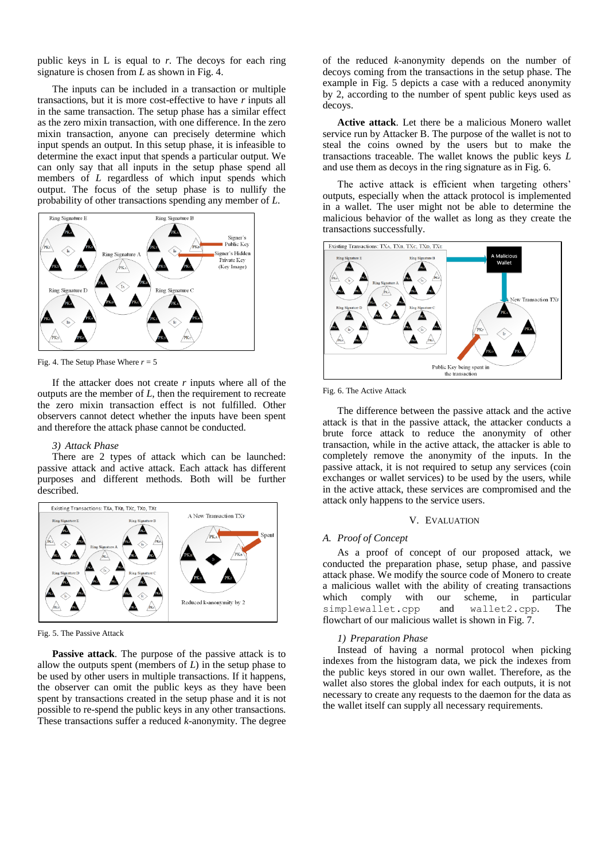public keys in L is equal to *r*. The decoys for each ring signature is chosen from *L* as shown in [Fig. 4.](#page-5-0)

The inputs can be included in a transaction or multiple transactions, but it is more cost-effective to have *r* inputs all in the same transaction. The setup phase has a similar effect as the zero mixin transaction, with one difference. In the zero mixin transaction, anyone can precisely determine which input spends an output. In this setup phase, it is infeasible to determine the exact input that spends a particular output. We can only say that all inputs in the setup phase spend all members of *L* regardless of which input spends which output. The focus of the setup phase is to nullify the probability of other transactions spending any member of *L*.



<span id="page-5-0"></span>Fig. 4. The Setup Phase Where  $r = 5$ 

If the attacker does not create *r* inputs where all of the outputs are the member of *L*, then the requirement to recreate the zero mixin transaction effect is not fulfilled. Other observers cannot detect whether the inputs have been spent and therefore the attack phase cannot be conducted.

#### *3) Attack Phase*

There are 2 types of attack which can be launched: passive attack and active attack. Each attack has different purposes and different methods. Both will be further described.



<span id="page-5-1"></span>Fig. 5. The Passive Attack

**Passive attack**. The purpose of the passive attack is to allow the outputs spent (members of *L*) in the setup phase to be used by other users in multiple transactions. If it happens, the observer can omit the public keys as they have been spent by transactions created in the setup phase and it is not possible to re-spend the public keys in any other transactions. These transactions suffer a reduced *k*-anonymity. The degree of the reduced *k*-anonymity depends on the number of decoys coming from the transactions in the setup phase. The example in [Fig. 5](#page-5-1) depicts a case with a reduced anonymity by 2, according to the number of spent public keys used as decoys.

**Active attack**. Let there be a malicious Monero wallet service run by Attacker B. The purpose of the wallet is not to steal the coins owned by the users but to make the transactions traceable. The wallet knows the public keys *L* and use them as decoys in the ring signature as i[n Fig. 6.](#page-5-2)

The active attack is efficient when targeting others' outputs, especially when the attack protocol is implemented in a wallet. The user might not be able to determine the malicious behavior of the wallet as long as they create the transactions successfully.



<span id="page-5-2"></span>Fig. 6. The Active Attack

The difference between the passive attack and the active attack is that in the passive attack, the attacker conducts a brute force attack to reduce the anonymity of other transaction, while in the active attack, the attacker is able to completely remove the anonymity of the inputs. In the passive attack, it is not required to setup any services (coin exchanges or wallet services) to be used by the users, while in the active attack, these services are compromised and the attack only happens to the service users.

### V. EVALUATION

#### *A. Proof of Concept*

As a proof of concept of our proposed attack, we conducted the preparation phase, setup phase, and passive attack phase. We modify the source code of Monero to create a malicious wallet with the ability of creating transactions<br>which comply with our scheme, in particular which comply with our scheme, in particular simplewallet.cpp and wallet2.cpp. The flowchart of our malicious wallet is shown in [Fig. 7.](#page-6-0)

# *1) Preparation Phase*

Instead of having a normal protocol when picking indexes from the histogram data, we pick the indexes from the public keys stored in our own wallet. Therefore, as the wallet also stores the global index for each outputs, it is not necessary to create any requests to the daemon for the data as the wallet itself can supply all necessary requirements.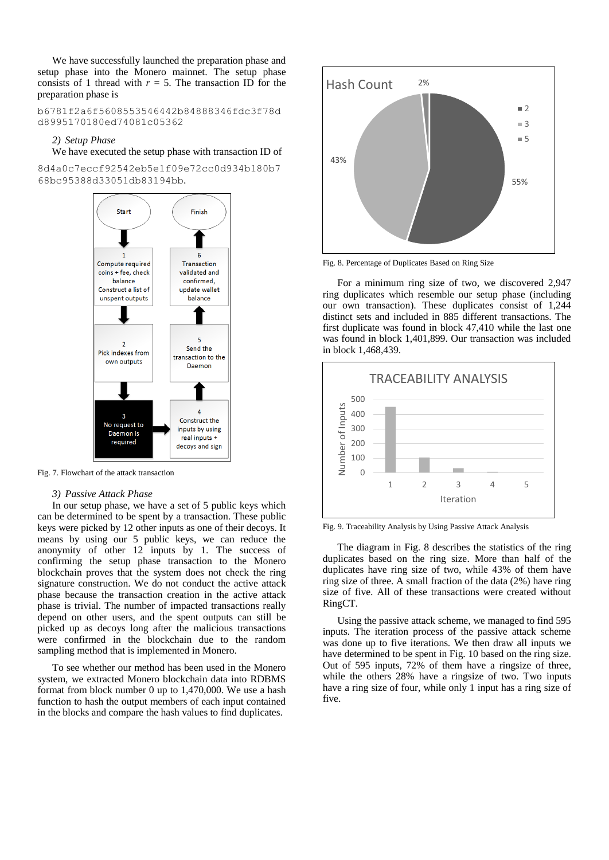We have successfully launched the preparation phase and setup phase into the Monero mainnet. The setup phase consists of 1 thread with  $r = 5$ . The transaction ID for the preparation phase is

b6781f2a6f5608553546442b84888346fdc3f78d d8995170180ed74081c05362

# *2) Setup Phase*

We have executed the setup phase with transaction ID of

8d4a0c7eccf92542eb5e1f09e72cc0d934b180b7 68bc95388d33051db83194bb.



<span id="page-6-0"></span>Fig. 7. Flowchart of the attack transaction

#### *3) Passive Attack Phase*

In our setup phase, we have a set of 5 public keys which can be determined to be spent by a transaction. These public keys were picked by 12 other inputs as one of their decoys. It means by using our 5 public keys, we can reduce the anonymity of other 12 inputs by 1. The success of confirming the setup phase transaction to the Monero blockchain proves that the system does not check the ring signature construction. We do not conduct the active attack phase because the transaction creation in the active attack phase is trivial. The number of impacted transactions really depend on other users, and the spent outputs can still be picked up as decoys long after the malicious transactions were confirmed in the blockchain due to the random sampling method that is implemented in Monero.

To see whether our method has been used in the Monero system, we extracted Monero blockchain data into RDBMS format from block number 0 up to 1,470,000. We use a hash function to hash the output members of each input contained in the blocks and compare the hash values to find duplicates.



<span id="page-6-1"></span>Fig. 8. Percentage of Duplicates Based on Ring Size

For a minimum ring size of two, we discovered 2,947 ring duplicates which resemble our setup phase (including our own transaction). These duplicates consist of 1,244 distinct sets and included in 885 different transactions. The first duplicate was found in block 47,410 while the last one was found in block 1,401,899. Our transaction was included in block 1,468,439.



Fig. 9. Traceability Analysis by Using Passive Attack Analysis

The diagram in [Fig. 8](#page-6-1) describes the statistics of the ring duplicates based on the ring size. More than half of the duplicates have ring size of two, while 43% of them have ring size of three. A small fraction of the data (2%) have ring size of five. All of these transactions were created without RingCT.

Using the passive attack scheme, we managed to find 595 inputs. The iteration process of the passive attack scheme was done up to five iterations. We then draw all inputs we have determined to be spent i[n Fig. 10](#page-7-0) based on the ring size. Out of 595 inputs, 72% of them have a ringsize of three, while the others 28% have a ringsize of two. Two inputs have a ring size of four, while only 1 input has a ring size of five.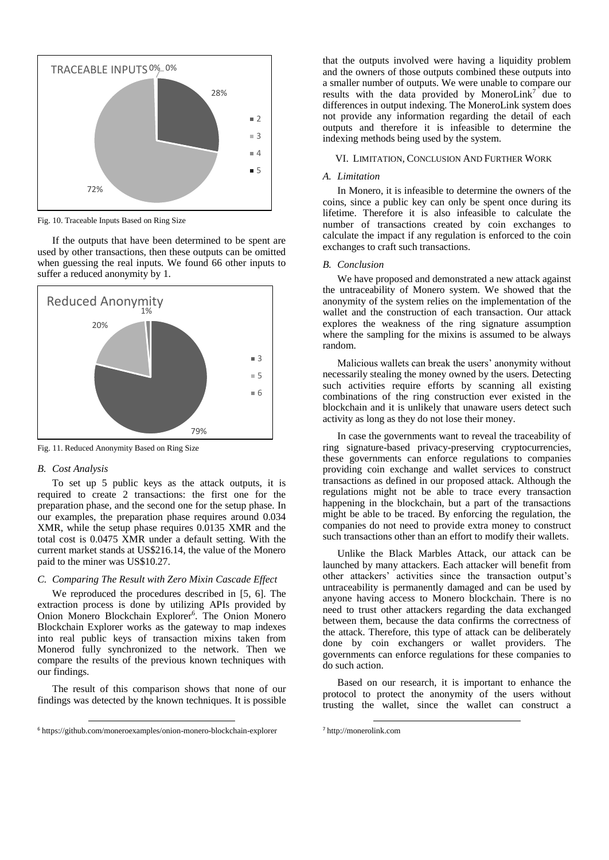

<span id="page-7-0"></span>Fig. 10. Traceable Inputs Based on Ring Size

If the outputs that have been determined to be spent are used by other transactions, then these outputs can be omitted when guessing the real inputs. We found 66 other inputs to suffer a reduced anonymity by 1.



Fig. 11. Reduced Anonymity Based on Ring Size

#### *B. Cost Analysis*

l

To set up 5 public keys as the attack outputs, it is required to create 2 transactions: the first one for the preparation phase, and the second one for the setup phase. In our examples, the preparation phase requires around 0.034 XMR, while the setup phase requires 0.0135 XMR and the total cost is 0.0475 XMR under a default setting. With the current market stands at US\$216.14, the value of the Monero paid to the miner was US\$10.27.

# *C. Comparing The Result with Zero Mixin Cascade Effect*

We reproduced the procedures described in [5, 6]. The extraction process is done by utilizing APIs provided by Onion Monero Blockchain Explorer<sup>6</sup>. The Onion Monero Blockchain Explorer works as the gateway to map indexes into real public keys of transaction mixins taken from Monerod fully synchronized to the network. Then we compare the results of the previous known techniques with our findings.

The result of this comparison shows that none of our findings was detected by the known techniques. It is possible that the outputs involved were having a liquidity problem and the owners of those outputs combined these outputs into a smaller number of outputs. We were unable to compare our results with the data provided by MoneroLink<sup>7</sup> due to differences in output indexing. The MoneroLink system does not provide any information regarding the detail of each outputs and therefore it is infeasible to determine the indexing methods being used by the system.

# VI. LIMITATION, CONCLUSION AND FURTHER WORK

# *A. Limitation*

In Monero, it is infeasible to determine the owners of the coins, since a public key can only be spent once during its lifetime. Therefore it is also infeasible to calculate the number of transactions created by coin exchanges to calculate the impact if any regulation is enforced to the coin exchanges to craft such transactions.

#### *B. Conclusion*

We have proposed and demonstrated a new attack against the untraceability of Monero system. We showed that the anonymity of the system relies on the implementation of the wallet and the construction of each transaction. Our attack explores the weakness of the ring signature assumption where the sampling for the mixins is assumed to be always random.

Malicious wallets can break the users' anonymity without necessarily stealing the money owned by the users. Detecting such activities require efforts by scanning all existing combinations of the ring construction ever existed in the blockchain and it is unlikely that unaware users detect such activity as long as they do not lose their money.

In case the governments want to reveal the traceability of ring signature-based privacy-preserving cryptocurrencies, these governments can enforce regulations to companies providing coin exchange and wallet services to construct transactions as defined in our proposed attack. Although the regulations might not be able to trace every transaction happening in the blockchain, but a part of the transactions might be able to be traced. By enforcing the regulation, the companies do not need to provide extra money to construct such transactions other than an effort to modify their wallets.

Unlike the Black Marbles Attack, our attack can be launched by many attackers. Each attacker will benefit from other attackers' activities since the transaction output's untraceability is permanently damaged and can be used by anyone having access to Monero blockchain. There is no need to trust other attackers regarding the data exchanged between them, because the data confirms the correctness of the attack. Therefore, this type of attack can be deliberately done by coin exchangers or wallet providers. The governments can enforce regulations for these companies to do such action.

Based on our research, it is important to enhance the protocol to protect the anonymity of the users without trusting the wallet, since the wallet can construct a

1

<sup>6</sup> https://github.com/moneroexamples/onion-monero-blockchain-explorer

<sup>7</sup> http://monerolink.com